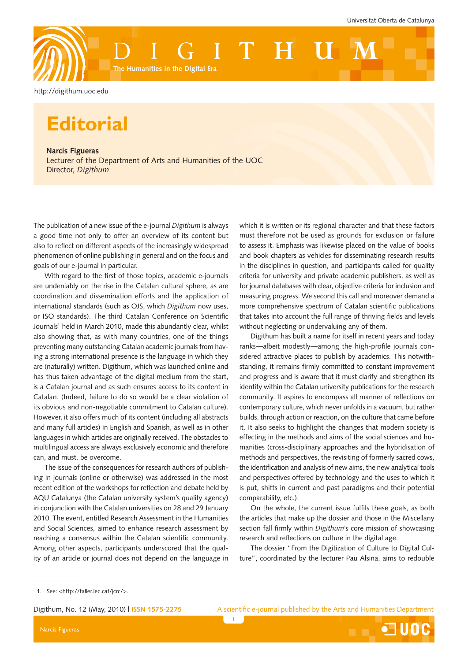

<http://digithum.uoc.edu>

## **Editorial**

**Narcís Figueras** Lecturer of the Department of Arts and Humanities of the UOC Director, *Digithum*

The publication of a new issue of the e-journal *Digithum* is always a good time not only to offer an overview of its content but also to reflect on different aspects of the increasingly widespread phenomenon of online publishing in general and on the focus and goals of our e-journal in particular.

With regard to the first of those topics, academic e-journals are undeniably on the rise in the Catalan cultural sphere, as are coordination and dissemination efforts and the application of international standards (such as OJS, which *Digithum* now uses, or ISO standards). The third Catalan Conference on Scientific Journals<sup>1</sup> held in March 2010, made this abundantly clear, whilst also showing that, as with many countries, one of the things preventing many outstanding Catalan academic journals from having a strong international presence is the language in which they are (naturally) written. Digithum, which was launched online and has thus taken advantage of the digital medium from the start, is a Catalan journal and as such ensures access to its content in Catalan. (Indeed, failure to do so would be a clear violation of its obvious and non-negotiable commitment to Catalan culture). However, it also offers much of its content (including all abstracts and many full articles) in English and Spanish, as well as in other languages in which articles are originally received. The obstacles to multilingual access are always exclusively economic and therefore can, and must, be overcome.

The issue of the consequences for research authors of publishing in journals (online or otherwise) was addressed in the most recent edition of the workshops for reflection and debate held by AQU Catalunya (the Catalan university system's quality agency) in conjunction with the Catalan universities on 28 and 29 January 2010. The event, entitled Research Assessment in the Humanities and Social Sciences, aimed to enhance research assessment by reaching a consensus within the Catalan scientific community. Among other aspects, participants underscored that the quality of an article or journal does not depend on the language in which it is written or its regional character and that these factors must therefore not be used as grounds for exclusion or failure to assess it. Emphasis was likewise placed on the value of books and book chapters as vehicles for disseminating research results in the disciplines in question, and participants called for quality criteria for university and private academic publishers, as well as for journal databases with clear, objective criteria for inclusion and measuring progress. We second this call and moreover demand a more comprehensive spectrum of Catalan scientific publications that takes into account the full range of thriving fields and levels without neglecting or undervaluing any of them.

Digithum has built a name for itself in recent years and today ranks—albeit modestly—among the high-profile journals considered attractive places to publish by academics. This notwithstanding, it remains firmly committed to constant improvement and progress and is aware that it must clarify and strengthen its identity within the Catalan university publications for the research community. It aspires to encompass all manner of reflections on contemporary culture, which never unfolds in a vacuum, but rather builds, through action or reaction, on the culture that came before it. It also seeks to highlight the changes that modern society is effecting in the methods and aims of the social sciences and humanities (cross-disciplinary approaches and the hybridisation of methods and perspectives, the revisiting of formerly sacred cows, the identification and analysis of new aims, the new analytical tools and perspectives offered by technology and the uses to which it is put, shifts in current and past paradigms and their potential comparability, etc.).

On the whole, the current issue fulfils these goals, as both the articles that make up the dossier and those in the Miscellany section fall firmly within *Digithum*'s core mission of showcasing research and reflections on culture in the digital age.

The dossier "From the Digitization of Culture to Digital Culture", coordinated by the lecturer Pau Alsina, aims to redouble

**TUDC** 

J.

Narcís Figueras

<sup>1.</sup> See: [<http://taller.iec.cat/jcrc/>](http://taller.iec.cat/jcrc/).